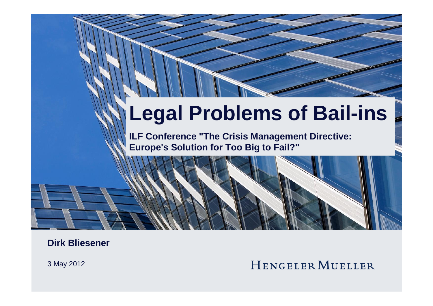# **Legal Problems of Bail-ins**

**ILF Conference "The Crisis Management Directive: Europe's Solution for Too Big to Fail?"**

**Dirk Bliesener**

3 May 2012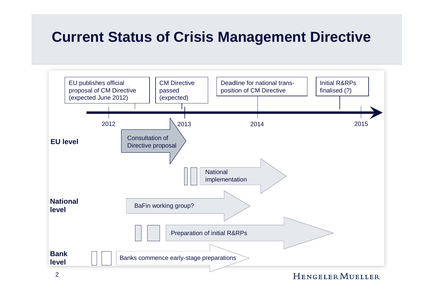### **Current Status of Crisis Management Directive**

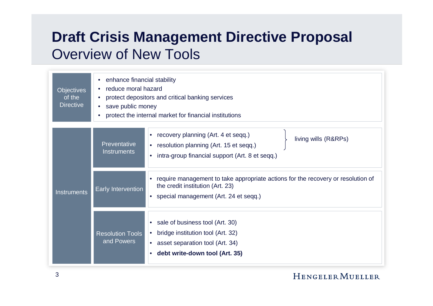# **Draft Crisis Management Directive Proposal** Overview of New Tools

| <b>Objectives</b><br>of the<br><b>Directive</b> | enhance financial stability<br>reduce moral hazard<br>protect depositors and critical banking services<br>save public money<br>protect the internal market for financial institutions<br>$\bullet$                                     |  |  |  |  |
|-------------------------------------------------|----------------------------------------------------------------------------------------------------------------------------------------------------------------------------------------------------------------------------------------|--|--|--|--|
| <b>Instruments</b>                              | recovery planning (Art. 4 et seqq.)<br>$\bullet$<br>living wills (R&RPs)<br><b>Preventative</b><br>resolution planning (Art. 15 et seqq.)<br>$\bullet$<br>Instruments<br>intra-group financial support (Art. 8 et seqq.)<br>$\bullet$  |  |  |  |  |
|                                                 | require management to take appropriate actions for the recovery or resolution of<br>$\bullet$<br>the credit institution (Art. 23)<br><b>Early Intervention</b><br>special management (Art. 24 et seqq.)<br>$\bullet$                   |  |  |  |  |
|                                                 | sale of business tool (Art. 30)<br>$\bullet$<br>bridge institution tool (Art. 32)<br><b>Resolution Tools</b><br>$\bullet$<br>and Powers<br>asset separation tool (Art. 34)<br>$\bullet$<br>debt write-down tool (Art. 35)<br>$\bullet$ |  |  |  |  |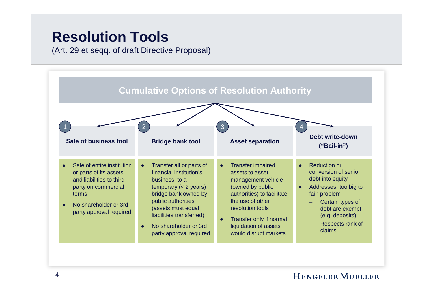### **Resolution Tools**

(Art. 29 et seqq. of draft Directive Proposal)

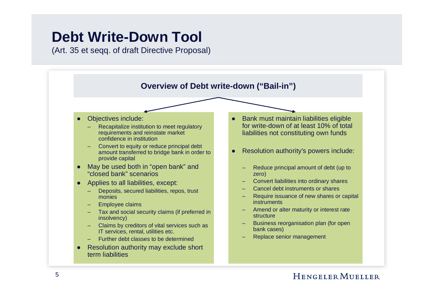### **Debt Write-Down Tool**

(Art. 35 et seqq. of draft Directive Proposal)

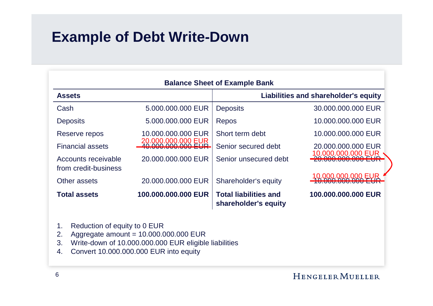# **Example of Debt Write-Down**

| <b>Balance Sheet of Example Bank</b>        |                     |                                                      |                                      |  |  |  |  |
|---------------------------------------------|---------------------|------------------------------------------------------|--------------------------------------|--|--|--|--|
| <b>Assets</b>                               |                     |                                                      | Liabilities and shareholder's equity |  |  |  |  |
| Cash                                        | 5,000,000,000 EUR   | <b>Deposits</b>                                      | 30,000,000,000 EUR                   |  |  |  |  |
| <b>Deposits</b>                             | 5.000.000.000 EUR   | Repos                                                | 10.000.000.000 EUR                   |  |  |  |  |
| Reserve repos                               | 10.000.000.000 EUR  | Short term debt                                      | 10,000,000,000 EUR                   |  |  |  |  |
| <b>Financial assets</b>                     | 20.000.000.000 EUR  | Senior secured debt                                  | 20.000.000.000 EUR                   |  |  |  |  |
| Accounts receivable<br>from credit-business | 20,000,000,000 EUR  | Senior unsecured debt                                | 10.000.000.000 EUR                   |  |  |  |  |
| Other assets                                | 20,000,000,000 EUR  | Shareholder's equity                                 | LOOD OOO OOO EI<br>UUU TUUU TUUU     |  |  |  |  |
| <b>Total assets</b>                         | 100.000.000.000 EUR | <b>Total liabilities and</b><br>shareholder's equity | 100.000.000.000 EUR                  |  |  |  |  |

- 1. Reduction of equity to 0 EUR
- 2. Aggregate amount = 10.000.000.000 EUR
- 3. Write-down of 10.000.000.000 EUR eligible liabilities
- 4. Convert 10.000.000.000 EUR into equity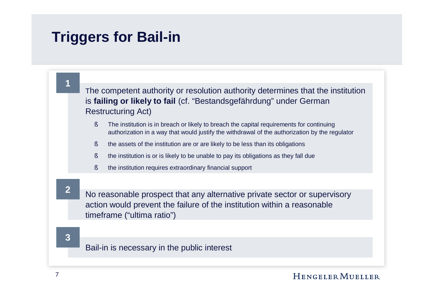# **Triggers for Bail-in**

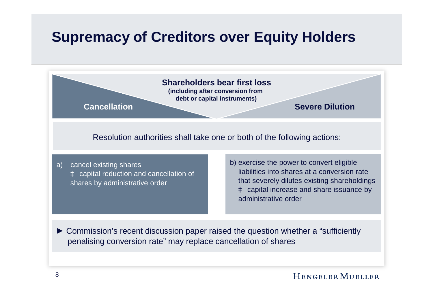### **Supremacy of Creditors over Equity Holders**

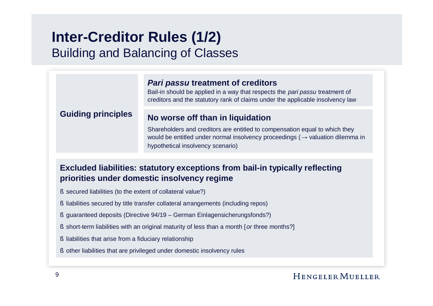### **Inter-Creditor Rules (1/2)** Building and Balancing of Classes

#### *Pari passu* **treatment of creditors**

Bail-in should be applied in a way that respects the *pari passu* treatment of creditors and the statutory rank of claims under the applicable insolvency law

#### **Guiding principles**

#### **No worse off than in liquidation**

Shareholders and creditors are entitled to compensation equal to which they would be entitled under normal insolvency proceedings ( $\rightarrow$  valuation dilemma in hypothetical insolvency scenario)

#### **Excluded liabilities: statutory exceptions from bail-in typically reflecting priorities under domestic insolvency regime**

- § secured liabilities (to the extent of collateral value?)
- § liabilities secured by title transfer collateral arrangements (including repos)
- § guaranteed deposits (Directive 94/19 German Einlagensicherungsfonds?)
- § short-term liabilities with an original maturity of less than a month [*or* three months?]
- § liabilities that arise from a fiduciary relationship
- § other liabilities that are privileged under domestic insolvency rules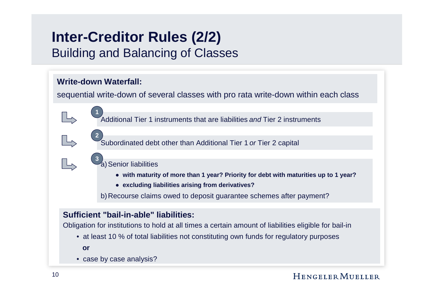### **Inter-Creditor Rules (2/2)** Building and Balancing of Classes

#### **Write-down Waterfall:**

**1**

**2**

**3**

sequential write-down of several classes with pro rata write-down within each class

Additional Tier 1 instruments that are liabilities *and* Tier 2 instruments

Subordinated debt other than Additional Tier 1 *or* Tier 2 capital

#### a) Senior liabilities

- **with maturity of more than 1 year? Priority for debt with maturities up to 1 year?**
- **excluding liabilities arising from derivatives?**

b)Recourse claims owed to deposit guarantee schemes after payment?

#### **Sufficient "bail-in-able" liabilities:**

Obligation for institutions to hold at all times a certain amount of liabilities eligible for bail-in

• at least 10 % of total liabilities not constituting own funds for regulatory purposes

**or**

• case by case analysis?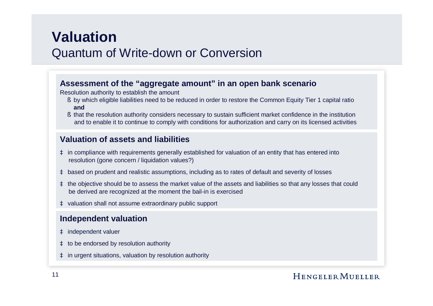### **Valuation** Quantum of Write-down or Conversion

#### **Assessment of the "aggregate amount" in an open bank scenario**

Resolution authority to establish the amount

- § by which eligible liabilities need to be reduced in order to restore the Common Equity Tier 1 capital ratio **and**
- § that the resolution authority considers necessary to sustain sufficient market confidence in the institution and to enable it to continue to comply with conditions for authorization and carry on its licensed activities

#### **Valuation of assets and liabilities**

- à in compliance with requirements generally established for valuation of an entity that has entered into resolution (gone concern / liquidation values?)
- à based on prudent and realistic assumptions, including as to rates of default and severity of losses
- à the objective should be to assess the market value of the assets and liabilities so that any losses that could be derived are recognized at the moment the bail-in is exercised
- à valuation shall not assume extraordinary public support

#### **Independent valuation**

- à independent valuer
- à to be endorsed by resolution authority
- à in urgent situations, valuation by resolution authority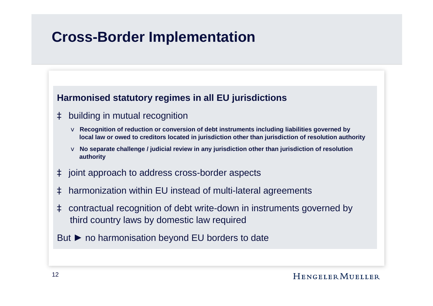### **Cross-Border Implementation**

#### **Harmonised statutory regimes in all EU jurisdictions**

#### à building in mutual recognition

- v **Recognition of reduction or conversion of debt instruments including liabilities governed by local law or owed to creditors located in jurisdiction other than jurisdiction of resolution authority**
- v **No separate challenge / judicial review in any jurisdiction other than jurisdiction of resolution authority**
- à joint approach to address cross-border aspects
- à harmonization within EU instead of multi-lateral agreements
- à contractual recognition of debt write-down in instruments governed by third country laws by domestic law required
- But ► no harmonisation beyond EU borders to date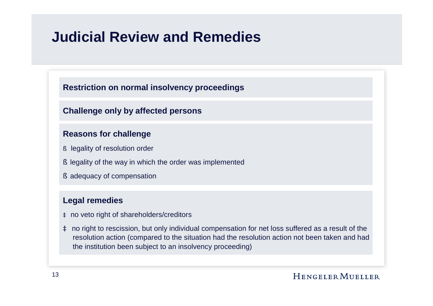### **Judicial Review and Remedies**

#### **Restriction on normal insolvency proceedings**

#### **Challenge only by affected persons**

#### **Reasons for challenge**

- § legality of resolution order
- § legality of the way in which the order was implemented
- § adequacy of compensation

#### **Legal remedies**

- à no veto right of shareholders/creditors
- à no right to rescission, but only individual compensation for net loss suffered as a result of the resolution action (compared to the situation had the resolution action not been taken and had the institution been subject to an insolvency proceeding)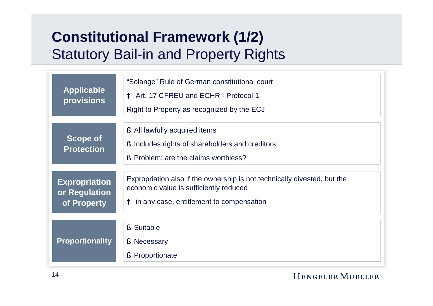# **Constitutional Framework (1/2)** Statutory Bail-in and Property Rights

| <b>Applicable</b><br>provisions                      | "Solange" Rule of German constitutional court<br>à Art. 17 CFREU and ECHR - Protocol 1<br>Right to Property as recognized by the ECJ                             |
|------------------------------------------------------|------------------------------------------------------------------------------------------------------------------------------------------------------------------|
| <b>Scope of</b><br><b>Protection</b>                 | § All lawfully acquired items<br>Includes rights of shareholders and creditors<br>S.<br>Problem: are the claims worthless?<br>ι\$,                               |
| <b>Expropriation</b><br>or Regulation<br>of Property | Expropriation also if the ownership is not technically divested, but the<br>economic value is sufficiently reduced<br>à in any case, entitlement to compensation |
| <b>Proportionality</b>                               | § Suitable<br>§ Necessary<br>$\S$<br>Proportionate                                                                                                               |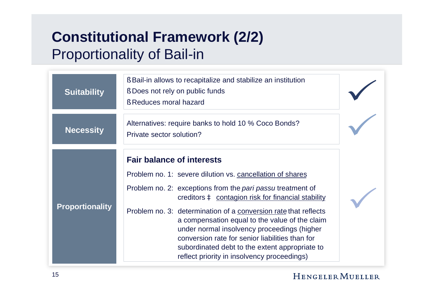# **Constitutional Framework (2/2)** Proportionality of Bail-in

| <b>Suitability</b>     | § Bail-in allows to recapitalize and stabilize an institution<br>§ Does not rely on public funds<br>§ Reduces moral hazard                                                                                                                                                                                                                                                                                                                                                                                                                |  |
|------------------------|-------------------------------------------------------------------------------------------------------------------------------------------------------------------------------------------------------------------------------------------------------------------------------------------------------------------------------------------------------------------------------------------------------------------------------------------------------------------------------------------------------------------------------------------|--|
| <b>Necessity</b>       | Alternatives: require banks to hold 10 % Coco Bonds?<br>Private sector solution?                                                                                                                                                                                                                                                                                                                                                                                                                                                          |  |
| <b>Proportionality</b> | <b>Fair balance of interests</b><br>Problem no. 1: severe dilution vs. cancellation of shares<br>Problem no. 2: exceptions from the pari passu treatment of<br>creditors à contagion risk for financial stability<br>Problem no. 3: determination of a conversion rate that reflects<br>a compensation equal to the value of the claim<br>under normal insolvency proceedings (higher<br>conversion rate for senior liabilities than for<br>subordinated debt to the extent appropriate to<br>reflect priority in insolvency proceedings) |  |